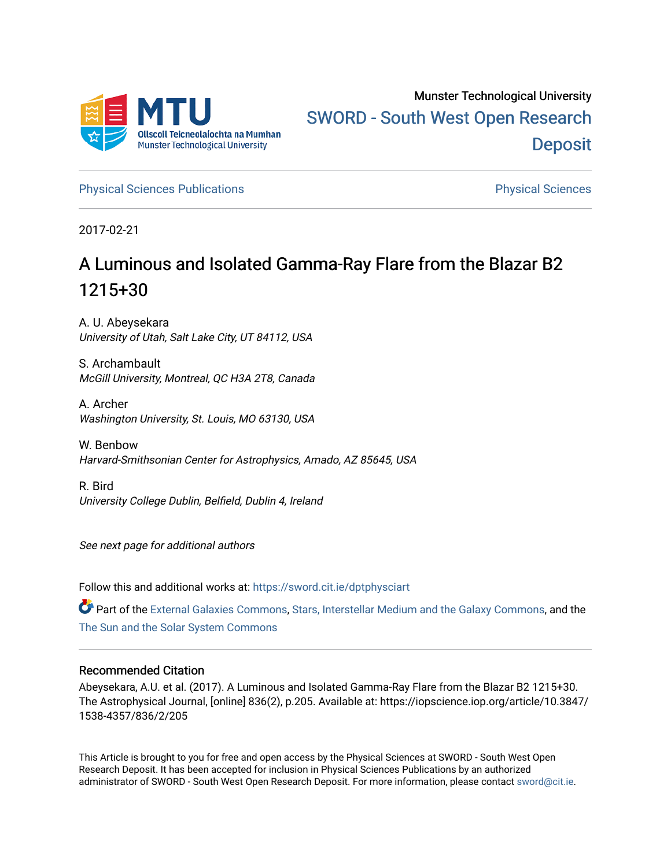

[Physical Sciences Publications](https://sword.cit.ie/dptphysciart) **Physical Sciences** Physical Sciences

2017-02-21

# A Luminous and Isolated Gamma-Ray Flare from the Blazar B2 1215+30

A. U. Abeysekara University of Utah, Salt Lake City, UT 84112, USA

S. Archambault McGill University, Montreal, QC H3A 2T8, Canada

A. Archer Washington University, St. Louis, MO 63130, USA

W. Benbow Harvard-Smithsonian Center for Astrophysics, Amado, AZ 85645, USA

R. Bird University College Dublin, Belfield, Dublin 4, Ireland

See next page for additional authors

Follow this and additional works at: [https://sword.cit.ie/dptphysciart](https://sword.cit.ie/dptphysciart?utm_source=sword.cit.ie%2Fdptphysciart%2F19&utm_medium=PDF&utm_campaign=PDFCoverPages)

Part of the [External Galaxies Commons](http://network.bepress.com/hgg/discipline/128?utm_source=sword.cit.ie%2Fdptphysciart%2F19&utm_medium=PDF&utm_campaign=PDFCoverPages), [Stars, Interstellar Medium and the Galaxy Commons](http://network.bepress.com/hgg/discipline/127?utm_source=sword.cit.ie%2Fdptphysciart%2F19&utm_medium=PDF&utm_campaign=PDFCoverPages), and the [The Sun and the Solar System Commons](http://network.bepress.com/hgg/discipline/126?utm_source=sword.cit.ie%2Fdptphysciart%2F19&utm_medium=PDF&utm_campaign=PDFCoverPages)

## Recommended Citation

Abeysekara, A.U. et al. (2017). A Luminous and Isolated Gamma-Ray Flare from the Blazar B2 1215+30. The Astrophysical Journal, [online] 836(2), p.205. Available at: https://iopscience.iop.org/article/10.3847/ 1538-4357/836/2/205

This Article is brought to you for free and open access by the Physical Sciences at SWORD - South West Open Research Deposit. It has been accepted for inclusion in Physical Sciences Publications by an authorized administrator of SWORD - South West Open Research Deposit. For more information, please contact [sword@cit.ie.](mailto:sword@cit.ie)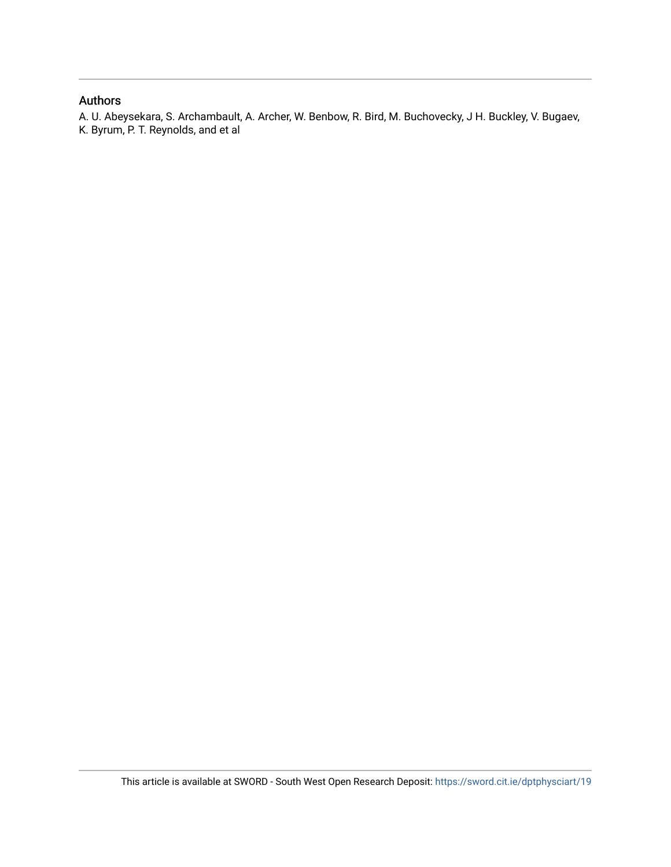# Authors

A. U. Abeysekara, S. Archambault, A. Archer, W. Benbow, R. Bird, M. Buchovecky, J H. Buckley, V. Bugaev, K. Byrum, P. T. Reynolds, and et al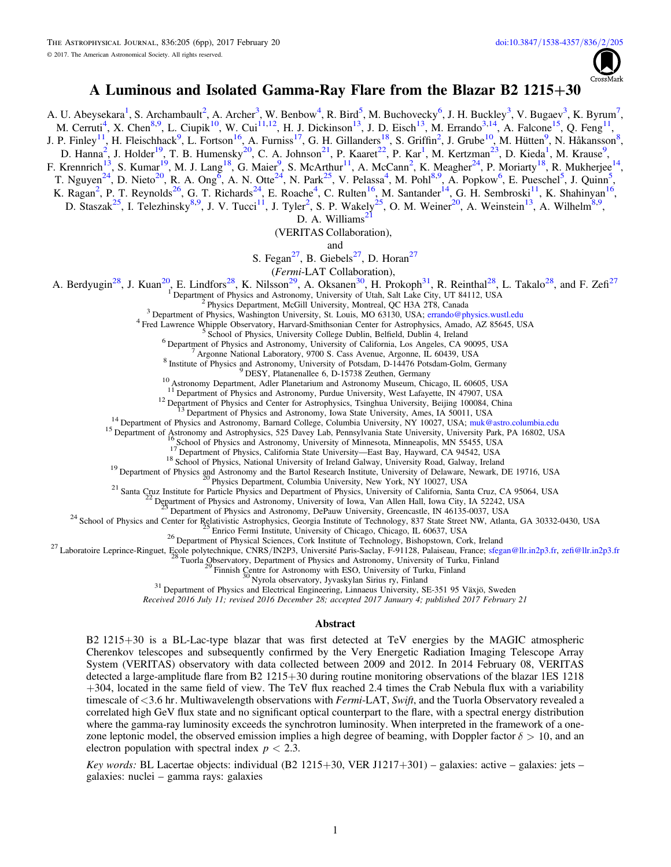

# A Luminous and Isolated Gamma-Ray Flare from the Blazar B2 1215+30

A. U. Abeysekara<sup>1</sup>, S. Archambault<sup>2</sup>, A. Archer<sup>3</sup>, W. Benbow<sup>4</sup>, R. Bird<sup>5</sup>, M. Buchovecky<sup>6</sup>, J. H. Buckley<sup>3</sup>, V. Bugaev<sup>3</sup>, K. Byrum<sup>7</sup>, M. Cerruti<sup>4</sup>, X. Chen<sup>8,9</sup>, L. Ciupik<sup>10</sup>, W. Cui<sup>11,12</sup>, H. J. Dickinson<sup>13</sup>, J. D. Eisch<sup>13</sup>, M. Errando<sup>3,14</sup>, A. Falcone<sup>15</sup>, Q. Feng<sup>11</sup>, J. P. Finley<sup>11</sup>, H. Fleischhack<sup>9</sup>, L. Fortson<sup>16</sup>, A. Furniss<sup>17</sup>, G. H. Gillanders<sup>18</sup>, S. Griffin<sup>2</sup>, J. Grube<sup>10</sup>, M. Hütten<sup>9</sup>, N. Håkansson<sup>8</sup>, D. Hanna<sup>2</sup>, J. Holder<sup>19</sup>, T. B. Humensky<sup>20</sup>, C. A. Johnson<sup>21</sup>, P. Kaaret<sup>22</sup>, P. Kar<sup>1</sup>, M. Kertzman<sup>23</sup>, D. Kieda<sup>1</sup>, M. Krause<sup>9</sup>, F. Krennrich<sup>13</sup>, S. Kumar<sup>19</sup>, M. J. Lang<sup>18</sup>, G. Maier<sup>9</sup>, S. McArthur<sup>11</sup>, A. McCann<sup>2</sup>, K. Meagher<sup>24</sup>, P. Moriarty<sup>18</sup>, R. Mukherjee<sup>14</sup>, T. Nguyen<sup>24</sup>, D. Nieto<sup>20</sup>, R. A. Ong<sup>6</sup>, A. N. Otte<sup>24</sup>, N. Park<sup>25</sup>, V. Pelassa<sup>4</sup>, M. Pohl<sup>8,9</sup>, A. Popkow<sup>6</sup>, E. Pueschel<sup>5</sup>, J. Quinn<sup>5</sup>, K. Ragan<sup>2</sup>, P. T. Reynolds<sup>26</sup>, G. T. Richards<sup>24</sup>, E. Roache<sup>4</sup>, C. Rulten<sup>16</sup>, M. Santander<sup>14</sup>, G. H. Sembroski<sup>11</sup>, K. Shahinyan<sup>16</sup>,

D. Staszak<sup>25</sup>, I. Telezhinsky<sup>8,9</sup>, J. V. Tucci<sup>11</sup>, J. Tyler<sup>2</sup>, S. P. Wakely<sup>25</sup>, O. M. Weiner<sup>20</sup>, A. Weinstein<sup>13</sup>, A. Wilhelm<sup>8,9</sup>,

D. A. Williams<sup>2</sup>

(VERITAS Collaboration),

and

S. Fegan<sup>27</sup>, B. Giebels<sup>27</sup>, D. Horan<sup>27</sup>

(Fermi-LAT Collaboration),

A. Berdyugin<sup>28</sup>, J. Kuan<sup>20</sup>, E. Lindfors<sup>28</sup>, K. Nilsson<sup>29</sup>, A. Oksanen<sup>30</sup>, H. Prokoph<sup>31</sup>, R. Reinthal<sup>28</sup>, L. Takalo<sup>28</sup>, and F. Zefi<sup>27</sup>

<sup>1</sup> Department of Physics and Astronomy, University of Utah, Salt Lake City, UT 84112, USA<br><sup>2</sup> Physics Department, McGill University, Montreal, QC H3A 2T8, Canada<br><sup>3</sup> Department of Physics, Washington University, St. Loui

<sup>10</sup> Astronomy Department, Adler Planetarium and Astronomy Museum, Chicago, IL. 60605, USA<br>
<sup>12</sup> Department of Physics and Astronomy, Purdue University, West Lafayette, IN 47907, USA<br>
<sup>12</sup> Department of Physics and Astron

Received 2016 July 11; revised 2016 December 28; accepted 2017 January 4; published 2017 February 21

#### Abstract

B2 1215+30 is a BL-Lac-type blazar that was first detected at TeV energies by the MAGIC atmospheric Cherenkov telescopes and subsequently confirmed by the Very Energetic Radiation Imaging Telescope Array System (VERITAS) observatory with data collected between 2009 and 2012. In 2014 February 08, VERITAS detected a large-amplitude flare from B2 1215+30 during routine monitoring observations of the blazar 1ES 1218 +304, located in the same field of view. The TeV flux reached 2.4 times the Crab Nebula flux with a variability timescale of <3.6 hr. Multiwavelength observations with Fermi-LAT, Swift, and the Tuorla Observatory revealed a correlated high GeV flux state and no significant optical counterpart to the flare, with a spectral energy distribution where the gamma-ray luminosity exceeds the synchrotron luminosity. When interpreted in the framework of a onezone leptonic model, the observed emission implies a high degree of beaming, with Doppler factor  $\delta > 10$ , and an electron population with spectral index  $p < 2.3$ .

Key words: BL Lacertae objects: individual (B2 1215+30, VER J1217+301) – galaxies: active – galaxies: jets – galaxies: nuclei – gamma rays: galaxies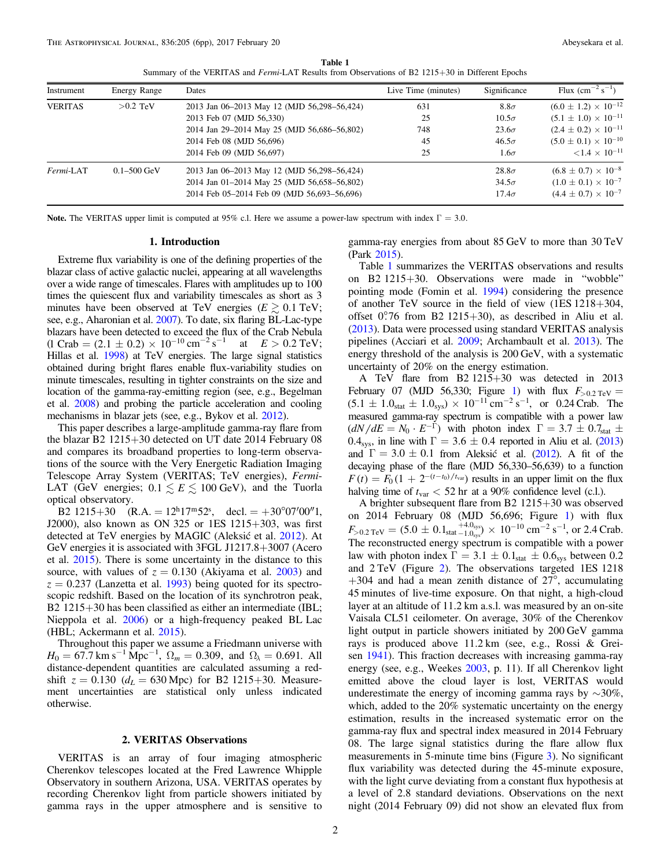Table 1 Summary of the VERITAS and Fermi-LAT Results from Observations of B2 1215+30 in Different Epochs

<span id="page-3-0"></span>

| Instrument     | <b>Energy Range</b> | Dates                                       | Live Time (minutes) | Significance | Flux $\rm (cm^{-2} \rm \ s^{-1})$ |
|----------------|---------------------|---------------------------------------------|---------------------|--------------|-----------------------------------|
| <b>VERITAS</b> | $>0.2$ TeV          | 2013 Jan 06-2013 May 12 (MJD 56,298-56,424) | 631                 | $8.8\sigma$  | $(6.0 \pm 1.2) \times 10^{-12}$   |
|                |                     | 2013 Feb 07 (MJD 56,330)                    | 25                  | $10.5\sigma$ | $(5.1 \pm 1.0) \times 10^{-11}$   |
|                |                     | 2014 Jan 29-2014 May 25 (MJD 56,686-56,802) | 748                 | $23.6\sigma$ | $(2.4 \pm 0.2) \times 10^{-11}$   |
|                |                     | 2014 Feb 08 (MJD 56,696)                    | 45                  | $46.5\sigma$ | $(5.0 \pm 0.1) \times 10^{-10}$   |
|                |                     | 2014 Feb 09 (MJD 56,697)                    | 25                  | $1.6\sigma$  | $\leq 1.4 \times 10^{-11}$        |
| Fermi-LAT      | $0.1 - 500$ GeV     | 2013 Jan 06-2013 May 12 (MJD 56,298-56,424) |                     | $28.8\sigma$ | $(6.8 \pm 0.7) \times 10^{-8}$    |
|                |                     | 2014 Jan 01-2014 May 25 (MJD 56,658-56,802) |                     | $34.5\sigma$ | $(1.0 \pm 0.1) \times 10^{-7}$    |
|                |                     | 2014 Feb 05-2014 Feb 09 (MJD 56,693-56,696) |                     | $17.4\sigma$ | $(4.4 \pm 0.7) \times 10^{-7}$    |

Note. The VERITAS upper limit is computed at 95% c.l. Here we assume a power-law spectrum with index  $\Gamma = 3.0$ .

#### 1. Introduction

Extreme flux variability is one of the defining properties of the blazar class of active galactic nuclei, appearing at all wavelengths over a wide range of timescales. Flares with amplitudes up to 100 times the quiescent flux and variability timescales as short as 3 minutes have been observed at TeV energies ( $E \gtrsim 0.1$  TeV; see, e.g., Aharonian et al. [2007](#page-7-0)). To date, six flaring BL-Lac-type blazars have been detected to exceed the flux of the Crab Nebula  $(1 \text{ Crab} = (2.1 \pm 0.2) \times 10^{-10} \text{ cm}^{-2} \text{ s}^{-1})$ at  $E > 0.2$  TeV; Hillas et al. [1998](#page-7-0)) at TeV energies. The large signal statistics obtained during bright flares enable flux-variability studies on minute timescales, resulting in tighter constraints on the size and location of the gamma-ray-emitting region (see, e.g., Begelman et al. [2008](#page-7-0)) and probing the particle acceleration and cooling mechanisms in blazar jets (see, e.g., Bykov et al. [2012](#page-7-0)).

This paper describes a large-amplitude gamma-ray flare from the blazar B2 1215+30 detected on UT date 2014 February 08 and compares its broadband properties to long-term observations of the source with the Very Energetic Radiation Imaging Telescope Array System (VERITAS; TeV energies), Fermi-LAT (GeV energies;  $0.1 \leq E \leq 100$  GeV), and the Tuorla optical observatory.

B2 1215+30  $(R.A. = 12<sup>h</sup>17<sup>m</sup>52<sup>s</sup>,$  decl. = +30°07′00″1, J2000), also known as ON 325 or 1ES 1215+303, was first detected at TeV energies by MAGIC (Aleksić et al. [2012](#page-7-0)). At GeV energies it is associated with 3FGL J1217.8+3007 (Acero et al. [2015](#page-7-0)). There is some uncertainty in the distance to this source, with values of  $z = 0.130$  (Akiyama et al. [2003](#page-7-0)) and  $z = 0.237$  (Lanzetta et al. [1993](#page-7-0)) being quoted for its spectroscopic redshift. Based on the location of its synchrotron peak, B2 1215+30 has been classified as either an intermediate (IBL; Nieppola et al. [2006](#page-7-0)) or a high-frequency peaked BL Lac (HBL; Ackermann et al. [2015](#page-7-0)).

Throughout this paper we assume a Friedmann universe with  $H_0 = 67.7 \text{ km s}^{-1} \text{ Mpc}^{-1}$ ,  $\Omega_m = 0.309$ , and  $\Omega_{\lambda} = 0.691$ . All distance-dependent quantities are calculated assuming a redshift  $z = 0.130$  ( $d_L = 630$  Mpc) for B2 1215+30. Measurement uncertainties are statistical only unless indicated otherwise.

## 2. VERITAS Observations

VERITAS is an array of four imaging atmospheric Cherenkov telescopes located at the Fred Lawrence Whipple Observatory in southern Arizona, USA. VERITAS operates by recording Cherenkov light from particle showers initiated by gamma rays in the upper atmosphere and is sensitive to gamma-ray energies from about 85 GeV to more than 30 TeV (Park [2015](#page-7-0)).

Table 1 summarizes the VERITAS observations and results on B2 1215+30. Observations were made in "wobble" pointing mode (Fomin et al. [1994](#page-7-0)) considering the presence of another TeV source in the field of view (1ES 1218+304, offset  $0.76$  from B2 1215+30), as described in Aliu et al. ([2013](#page-7-0)). Data were processed using standard VERITAS analysis pipelines (Acciari et al. [2009;](#page-7-0) Archambault et al. [2013](#page-7-0)). The energy threshold of the analysis is 200 GeV, with a systematic uncertainty of 20% on the energy estimation.

A TeV flare from B2 1215+30 was detected in 2013 February 07 (MJD 56,330; Figure [1](#page-4-0)) with flux  $F_{>0.2 \text{ TeV}} =$  $(5.1 \pm 1.0<sub>stat</sub> \pm 1.0<sub>sys</sub>) \times 10<sup>-11</sup>$  cm<sup>-2</sup> s<sup>-1</sup>, or 0.24 Crab. The measured gamma-ray spectrum is compatible with a power law  $\left(\frac{dN}{dE} = N_0 \cdot E^{-\Gamma}\right)$  with photon index  $\Gamma = 3.7 \pm 0.7$ <sub>stat</sub>  $\pm$ 0.4<sub>sys</sub>, in line with  $\Gamma = 3.6 \pm 0.4$  reported in Aliu et al. ([2013](#page-7-0)) and  $\Gamma = 3.0 \pm 0.1$  from Aleksić et al. ([2012](#page-7-0)). A fit of the decaying phase of the flare (MJD 56,330–56,639) to a function  $F(t) = F_0 (1 + 2^{-(t-t_0)/t_{var}})$  results in an upper limit on the flux halving time of  $t_{\text{var}} < 52$  hr at a 90% confidence level (c.l.).

A brighter subsequent flare from B2 1215+30 was observed on 2014 February 08 (MJD 56,696; Figure [1](#page-4-0)) with flux  $F_{> 0.2 \text{ TeV}} = (5.0 \pm 0.1_{\text{stat}} \frac{+4.0_{\text{sys}}}{-1.0_{\text{sys}}}) \times 10^{-10} \text{ cm}^{-2} \text{ s}^{-1}$ , or 2.4 Crab. The reconstructed energy spectrum is compatible with a power law with photon index  $\Gamma = 3.1 \pm 0.1_{stat} \pm 0.6_{sys}$  between 0.2 and 2 TeV (Figure [2](#page-4-0)). The observations targeted 1ES 1218  $+304$  and had a mean zenith distance of 27°, accumulating 45 minutes of live-time exposure. On that night, a high-cloud layer at an altitude of 11.2 km a.s.l. was measured by an on-site Vaisala CL51 ceilometer. On average, 30% of the Cherenkov light output in particle showers initiated by 200 GeV gamma rays is produced above 11.2 km (see, e.g., Rossi & Greisen [1941](#page-7-0)). This fraction decreases with increasing gamma-ray energy (see, e.g., Weekes [2003,](#page-7-0) p. 11). If all Cherenkov light emitted above the cloud layer is lost, VERITAS would underestimate the energy of incoming gamma rays by  $\sim$ 30%, which, added to the 20% systematic uncertainty on the energy estimation, results in the increased systematic error on the gamma-ray flux and spectral index measured in 2014 February 08. The large signal statistics during the flare allow flux measurements in 5-minute time bins (Figure [3](#page-4-0)). No significant flux variability was detected during the 45-minute exposure, with the light curve deviating from a constant flux hypothesis at a level of 2.8 standard deviations. Observations on the next night (2014 February 09) did not show an elevated flux from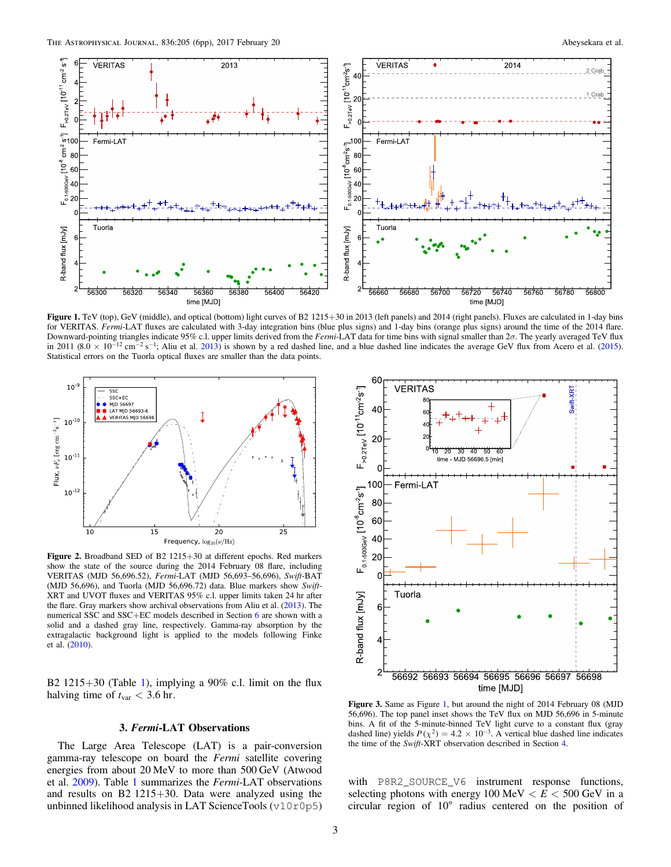<span id="page-4-0"></span>

Figure 1. TeV (top), GeV (middle), and optical (bottom) light curves of B2 1215+30 in 2013 (left panels) and 2014 (right panels). Fluxes are calculated in 1-day bins for VERITAS. Fermi-LAT fluxes are calculated with 3-day integration bins (blue plus signs) and 1-day bins (orange plus signs) around the time of the 2014 flare. Downward-pointing triangles indicate 95% c.l. upper limits derived from the Fermi-LAT data for time bins with signal smaller than 2σ. The yearly averaged TeV flux in 2011 (8.0  $\times$  10<sup>-12</sup> cm<sup>-2</sup> s<sup>-1</sup>; Aliu et al. [2013](#page-7-0)) is shown by a red dashed line, and a blue dashed line indicates the average GeV flux from Acero et al. ([2015](#page-7-0)). Statistical errors on the Tuorla optical fluxes are smaller than the data points.



Figure 2. Broadband SED of B2 1215+30 at different epochs. Red markers show the state of the source during the 2014 February 08 flare, including VERITAS (MJD 56,696.52), Fermi-LAT (MJD 56,693–56,696), Swift-BAT (MJD 56,696), and Tuorla (MJD 56,696.72) data. Blue markers show Swift-XRT and UVOT fluxes and VERITAS 95% c.l. upper limits taken 24 hr after the flare. Gray markers show archival observations from Aliu et al. ([2013](#page-7-0)). The numerical SSC and SSC+EC models described in Section [6](#page-5-0) are shown with a solid and a dashed gray line, respectively. Gamma-ray absorption by the extragalactic background light is applied to the models following Finke et al. ([2010](#page-7-0)).

B2 [1](#page-3-0)215+30 (Table 1), implying a  $90\%$  c.l. limit on the flux halving time of  $t_{\text{var}} < 3.6$  hr.

## 3. Fermi-LAT Observations

The Large Area Telescope (LAT) is a pair-conversion gamma-ray telescope on board the Fermi satellite covering energies from about 20 MeV to more than 500 GeV (Atwood et al. [2009](#page-7-0)). Table [1](#page-3-0) summarizes the Fermi-LAT observations and results on B2 1215+30. Data were analyzed using the unbinned likelihood analysis in LAT ScienceTools (v10r0p5)



Figure 3. Same as Figure 1, but around the night of 2014 February 08 (MJD 56,696). The top panel inset shows the TeV flux on MJD 56,696 in 5-minute bins. A fit of the 5-minute-binned TeV light curve to a constant flux (gray dashed line) yields  $P(\chi^2) = 4.2 \times 10^{-3}$ . A vertical blue dashed line indicates the time of the Swift-XRT observation described in Section [4.](#page-5-0)

with P8R2\_SOURCE\_V6 instrument response functions, selecting photons with energy  $100 \text{ MeV} < E < 500 \text{ GeV}$  in a circular region of 10◦ radius centered on the position of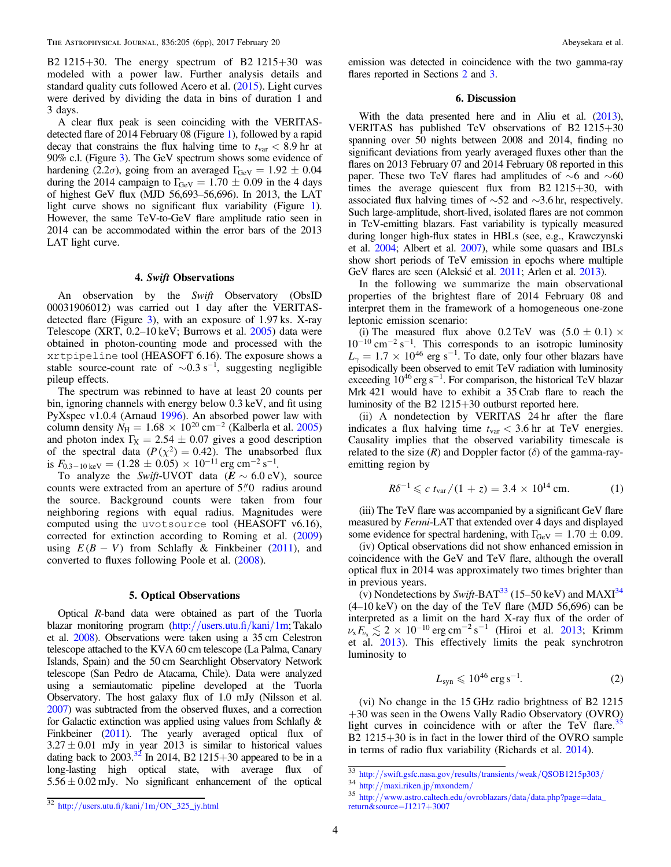<span id="page-5-0"></span>B2 1215+30. The energy spectrum of B2 1215+30 was modeled with a power law. Further analysis details and standard quality cuts followed Acero et al. ([2015](#page-7-0)). Light curves were derived by dividing the data in bins of duration 1 and 3 days.

A clear flux peak is seen coinciding with the VERITASdetected flare of 2014 February 08 (Figure [1](#page-4-0)), followed by a rapid decay that constrains the flux halving time to  $t_{\text{var}} < 8.9 \text{ hr}$  at 90% c.l. (Figure [3](#page-4-0)). The GeV spectrum shows some evidence of hardening (2.2 $\sigma$ ), going from an averaged  $\Gamma_{\text{GeV}} = 1.92 \pm 0.04$ during the 2014 campaign to  $\Gamma_{\text{GeV}} = 1.70 \pm 0.09$  in the 4 days of highest GeV flux (MJD 56,693–56,696). In 2013, the LAT light curve shows no significant flux variability (Figure [1](#page-4-0)). However, the same TeV-to-GeV flare amplitude ratio seen in 2014 can be accommodated within the error bars of the 2013 LAT light curve.

## 4. Swift Observations

An observation by the Swift Observatory (ObsID 00031906012) was carried out 1 day after the VERITASdetected flare (Figure [3](#page-4-0)), with an exposure of 1.97 ks. X-ray Telescope (XRT, 0.2–10 keV; Burrows et al. [2005](#page-7-0)) data were obtained in photon-counting mode and processed with the xrtpipeline tool (HEASOFT 6.16). The exposure shows a stable source-count rate of  $\sim 0.3$  s<sup>-1</sup>, suggesting negligible pileup effects.

The spectrum was rebinned to have at least 20 counts per bin, ignoring channels with energy below 0.3 keV, and fit using PyXspec v1.0.4 (Arnaud [1996](#page-7-0)). An absorbed power law with column density  $N_{\text{H}} = 1.68 \times 10^{20} \text{ cm}^{-2}$  (Kalberla et al. [2005](#page-7-0)) and photon index  $\Gamma_X = 2.54 \pm 0.07$  gives a good description of the spectral data  $(P(\chi^2) = 0.42)$ . The unabsorbed flux is  $F_{0.3-10 \text{ keV}} = (1.28 \pm 0.05) \times 10^{-11} \text{ erg cm}^{-2} \text{ s}^{-1}.$ 

To analyze the *Swift*-UVOT data  $(E \sim 6.0 \text{ eV})$ , source counts were extracted from an aperture of  $5\rlap.{''}0$  radius around the source. Background counts were taken from four neighboring regions with equal radius. Magnitudes were computed using the uvotsource tool (HEASOFT v6.16), corrected for extinction according to Roming et al. ([2009](#page-7-0)) using  $E(B - V)$  from Schlafly & Finkbeiner ([2011](#page-7-0)), and converted to fluxes following Poole et al. ([2008](#page-7-0)).

## 5. Optical Observations

Optical R-band data were obtained as part of the Tuorla blazar monitoring program (http://[users.utu.](http://users.utu.fi/kani/1m)fi/kani/1m; Takalo et al. [2008](#page-7-0)). Observations were taken using a 35 cm Celestron telescope attached to the KVA 60 cm telescope (La Palma, Canary Islands, Spain) and the 50 cm Searchlight Observatory Network telescope (San Pedro de Atacama, Chile). Data were analyzed using a semiautomatic pipeline developed at the Tuorla Observatory. The host galaxy flux of 1.0 mJy (Nilsson et al. [2007](#page-7-0)) was subtracted from the observed fluxes, and a correction for Galactic extinction was applied using values from Schlafly & Finkbeiner ([2011](#page-7-0)). The yearly averaged optical flux of  $3.27 \pm 0.01$  mJy in year 2013 is similar to historical values dating back to  $2003.^{32}$  In 2014, B2 1215+30 appeared to be in a long-lasting high optical state, with average flux of  $5.56 \pm 0.02$  mJy. No significant enhancement of the optical

emission was detected in coincidence with the two gamma-ray flares reported in Sections [2](#page-3-0) and [3.](#page-4-0)

#### 6. Discussion

With the data presented here and in Aliu et al. ([2013](#page-7-0)), VERITAS has published TeV observations of B2 1215+30 spanning over 50 nights between 2008 and 2014, finding no significant deviations from yearly averaged fluxes other than the flares on 2013 February 07 and 2014 February 08 reported in this paper. These two TeV flares had amplitudes of ∼6 and ∼60 times the average quiescent flux from B2 1215+30, with associated flux halving times of ∼52 and ∼3.6 hr, respectively. Such large-amplitude, short-lived, isolated flares are not common in TeV-emitting blazars. Fast variability is typically measured during longer high-flux states in HBLs (see, e.g., Krawczynski et al. [2004](#page-7-0); Albert et al. [2007](#page-7-0)), while some quasars and IBLs show short periods of TeV emission in epochs where multiple GeV flares are seen (Aleksić et al. [2011;](#page-7-0) Arlen et al. [2013](#page-7-0)).

In the following we summarize the main observational properties of the brightest flare of 2014 February 08 and interpret them in the framework of a homogeneous one-zone leptonic emission scenario:

(i) The measured flux above  $0.2 \text{ TeV}$  was  $(5.0 \pm 0.1) \times$  $10^{-10}$  cm<sup>-2</sup> s<sup>-1</sup>. This corresponds to an isotropic luminosity  $L_{\gamma} = 1.7 \times 10^{46}$  erg s<sup>-1</sup>. To date, only four other blazars have episodically been observed to emit TeV radiation with luminosity exceeding 10<sup>46</sup> erg s<sup>-1</sup>. For comparison, the historical TeV blazar Mrk 421 would have to exhibit a 35 Crab flare to reach the luminosity of the B2 1215+30 outburst reported here.

(ii) A nondetection by VERITAS 24 hr after the flare indicates a flux halving time  $t_{\text{var}} < 3.6$  hr at TeV energies. Causality implies that the observed variability timescale is related to the size  $(R)$  and Doppler factor  $(\delta)$  of the gamma-rayemitting region by

$$
R\delta^{-1} \leqslant c \ t_{\text{var}}/(1+z) = 3.4 \times 10^{14} \text{ cm.}
$$
 (1)

(iii) The TeV flare was accompanied by a significant GeV flare measured by Fermi-LAT that extended over 4 days and displayed some evidence for spectral hardening, with  $\Gamma_{\text{GeV}} = 1.70 \pm 0.09$ .

(iv) Optical observations did not show enhanced emission in coincidence with the GeV and TeV flare, although the overall optical flux in 2014 was approximately two times brighter than in previous years.

(v) Nondetections by Swift-BAT<sup>33</sup> (15–50 keV) and MAXI<sup>34</sup>  $(4-10 \text{ keV})$  on the day of the TeV flare (MJD 56,696) can be interpreted as a limit on the hard X-ray flux of the order of  $\nu_x F_{\nu_x} \lesssim 2 \times 10^{-10} \text{ erg cm}^{-2} \text{ s}^{-1}$  (Hiroi et al. [2013;](#page-7-0) Krimm et al. [2013](#page-7-0)). This effectively limits the peak synchrotron luminosity to

$$
L_{\rm syn} \leqslant 10^{46} \,\rm erg \,s^{-1}.\tag{2}
$$

(vi) No change in the 15 GHz radio brightness of B2 1215 +30 was seen in the Owens Vally Radio Observatory (OVRO) light curves in coincidence with or after the TeV flare.<sup>35</sup> B2 1215+30 is in fact in the lower third of the OVRO sample in terms of radio flux variability (Richards et al. [2014](#page-7-0)).

 $\frac{33 \text{ http://swift.gsfc.nasa.gov/results/transients/weak/QSOB1215p303/}}{34 \text{ http://maxi.riken.jp/mxondem/}}$  $\frac{33 \text{ http://swift.gsfc.nasa.gov/results/transients/weak/QSOB1215p303/}}{34 \text{ http://maxi.riken.jp/mxondem/}}$  $\frac{33 \text{ http://swift.gsfc.nasa.gov/results/transients/weak/QSOB1215p303/}}{34 \text{ http://maxi.riken.jp/mxondem/}}$  $\frac{33 \text{ http://swift.gsfc.nasa.gov/results/transients/weak/QSOB1215p303/}}{34 \text{ http://maxi.riken.jp/mxondem/}}$  $\frac{33 \text{ http://swift.gsfc.nasa.gov/results/transients/weak/QSOB1215p303/}}{34 \text{ http://maxi.riken.jp/mxondem/}}$ <br>35 http://[www.astro.caltech.edu](http://www.astro.caltech.edu/ovroblazars/data/data.php?page=data_return&source=J1217+3007)/ovroblazars/data/data.php?page=data\_ [return&source](http://www.astro.caltech.edu/ovroblazars/data/data.php?page=data_return&source=J1217+3007)=J1217+3007

<sup>32</sup> http://users.utu.fi/kani/1m/[ON\\_325\\_jy.html](http://users.utu.fi/kani/1m/ON_325_jy.html)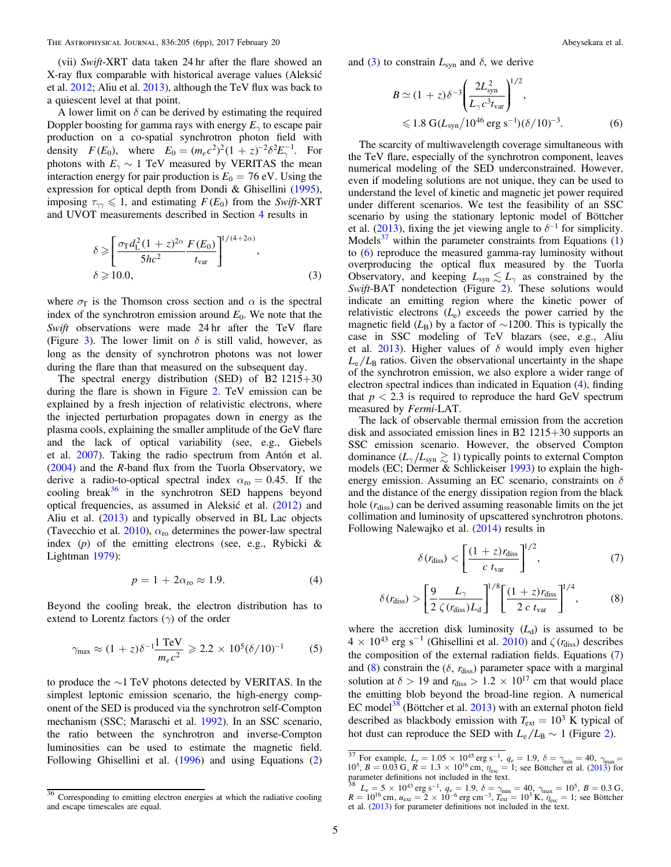(vii) Swift-XRT data taken 24 hr after the flare showed an X-ray flux comparable with historical average values (Aleksić et al. [2012](#page-7-0); Aliu et al. [2013](#page-7-0)), although the TeV flux was back to a quiescent level at that point.

A lower limit on  $\delta$  can be derived by estimating the required Doppler boosting for gamma rays with energy  $E<sub>γ</sub>$  to escape pair production on a co-spatial synchrotron photon field with density  $F(E_0)$ , where  $E_0 = (m_e c^2)^2 (1 + z)^{-2} \delta^2 E_{\gamma}^{-1}$ . For photons with  $E_\gamma \sim 1$  TeV measured by VERITAS the mean interaction energy for pair production is  $E_0 = 76$  eV. Using the expression for optical depth from Dondi & Ghisellini ([1995](#page-7-0)), imposing  $\tau_{\gamma\gamma} \leq 1$ , and estimating  $F(E_0)$  from the Swift-XRT and UVOT measurements described in Section [4](#page-5-0) results in

$$
\delta \geqslant \left[ \frac{\sigma_{\rm T} d_{\rm L}^2 (1+z)^{2\alpha}}{5hc^2} \frac{F(E_0)}{t_{\rm var}} \right]^{1/(4+2\alpha)},
$$
\n
$$
\delta \geqslant 10.0,
$$
\n(3)

where  $\sigma_{\rm T}$  is the Thomson cross section and  $\alpha$  is the spectral index of the synchrotron emission around  $E_0$ . We note that the Swift observations were made 24 hr after the TeV flare (Figure [3](#page-4-0)). The lower limit on  $\delta$  is still valid, however, as long as the density of synchrotron photons was not lower during the flare than that measured on the subsequent day.

The spectral energy distribution (SED) of B2 1215+30 during the flare is shown in Figure [2.](#page-4-0) TeV emission can be explained by a fresh injection of relativistic electrons, where the injected perturbation propagates down in energy as the plasma cools, explaining the smaller amplitude of the GeV flare and the lack of optical variability (see, e.g., Giebels et al. [2007](#page-7-0)). Taking the radio spectrum from Antón et al.  $(2004)$  $(2004)$  $(2004)$  and the R-band flux from the Tuorla Observatory, we derive a radio-to-optical spectral index  $\alpha_{\rm ro} = 0.45$ . If the cooling break $36$  in the synchrotron SED happens beyond optical frequencies, as assumed in Aleksić et al. ([2012](#page-7-0)) and Aliu et al. ([2013](#page-7-0)) and typically observed in BL Lac objects (Tavecchio et al. [2010](#page-7-0)),  $\alpha_{\rm ro}$  determines the power-law spectral index  $(p)$  of the emitting electrons (see, e.g., Rybicki & Lightman [1979](#page-7-0)):

$$
p = 1 + 2\alpha_{\text{ro}} \approx 1.9. \tag{4}
$$

Beyond the cooling break, the electron distribution has to extend to Lorentz factors  $(\gamma)$  of the order

$$
\gamma_{\text{max}} \approx (1+z)\delta^{-1} \frac{1 \text{ TeV}}{m_e c^2} \geq 2.2 \times 10^5 (\delta/10)^{-1}
$$
 (5)

to produce the ∼1 TeV photons detected by VERITAS. In the simplest leptonic emission scenario, the high-energy component of the SED is produced via the synchrotron self-Compton mechanism (SSC; Maraschi et al. [1992](#page-7-0)). In an SSC scenario, the ratio between the synchrotron and inverse-Compton luminosities can be used to estimate the magnetic field. Following Ghisellini et al. ([1996](#page-7-0)) and using Equations ([2](#page-5-0)) and (3) to constrain  $L_{syn}$  and  $\delta$ , we derive

$$
B \simeq (1+z)\delta^{-3} \left(\frac{2L_{\rm syn}^2}{L_\gamma c^3 t_{\rm var}}\right)^{1/2},
$$
  
\$\leq 1.8 \text{ G}(L\_{\rm syn}/10^{46} \text{ erg s}^{-1})(\delta/10)^{-3}\$. (6)

The scarcity of multiwavelength coverage simultaneous with the TeV flare, especially of the synchrotron component, leaves numerical modeling of the SED underconstrained. However, even if modeling solutions are not unique, they can be used to understand the level of kinetic and magnetic jet power required under different scenarios. We test the feasibility of an SSC scenario by using the stationary leptonic model of Böttcher et al. ([2013](#page-7-0)), fixing the jet viewing angle to  $\delta^{-1}$  for simplicity. Models<sup>37</sup> within the parameter constraints from Equations  $(1)$  $(1)$  $(1)$ to (6) reproduce the measured gamma-ray luminosity without overproducing the optical flux measured by the Tuorla Observatory, and keeping  $L_{syn} \lesssim L_{\gamma}$  as constrained by the Swift-BAT nondetection (Figure [2](#page-4-0)). These solutions would indicate an emitting region where the kinetic power of relativistic electrons  $(L_e)$  exceeds the power carried by the magnetic field ( $L_B$ ) by a factor of ~1200. This is typically the case in SSC modeling of TeV blazars (see, e.g., Aliu et al. [2013](#page-7-0)). Higher values of  $\delta$  would imply even higher  $L_e/L_B$  ratios. Given the observational uncertainty in the shape of the synchrotron emission, we also explore a wider range of electron spectral indices than indicated in Equation (4), finding that  $p < 2.3$  is required to reproduce the hard GeV spectrum measured by Fermi-LAT.

The lack of observable thermal emission from the accretion disk and associated emission lines in B2 1215+30 supports an SSC emission scenario. However, the observed Compton dominance  $(L_{\gamma}/L_{syn} \gtrsim 1)$  typically points to external Compton models (EC; Dermer & Schlickeiser [1993](#page-7-0)) to explain the highenergy emission. Assuming an EC scenario, constraints on  $\delta$ and the distance of the energy dissipation region from the black hole  $(r_{\text{diss}})$  can be derived assuming reasonable limits on the jet collimation and luminosity of upscattered synchrotron photons. Following Nalewajko et al. ([2014](#page-7-0)) results in

$$
\delta(r_{\text{diss}}) < \left[\frac{(1+z)r_{\text{diss}}}{c \, t_{\text{var}}}\right]^{1/2},\tag{7}
$$

$$
\delta(r_{\text{diss}}) > \left[\frac{9}{2} \frac{L_{\gamma}}{\zeta(r_{\text{diss}})L_{\text{d}}}\right]^{1/8} \left[\frac{(1+z)r_{\text{diss}}}{2 c t_{\text{var}}}\right]^{1/4},\tag{8}
$$

where the accretion disk luminosity  $(L_d)$  is assumed to be  $4 \times 10^{43}$  erg s<sup>-1</sup> (Ghisellini et al. [2010](#page-7-0)) and  $\zeta$  ( $r_{\text{diss}}$ ) describes the composition of the external radiation fields. Equations (7) and  $(8)$  constrain the  $(\delta, r_{\text{diss}})$  parameter space with a marginal solution at  $\delta > 19$  and  $r_{\text{diss}} > 1.2 \times 10^{17}$  cm that would place the emitting blob beyond the broad-line region. A numerical EC model<sup>38</sup> (Böttcher et al.  $2013$ ) with an external photon field described as blackbody emission with  $T_{ext} = 10^3$  K typical of hot dust can reproduce the SED with  $L_e/L_B \sim 1$  (Figure [2](#page-4-0)).

<sup>36</sup> Corresponding to emitting electron energies at which the radiative cooling and escape timescales are equal.

<sup>&</sup>lt;sup>37</sup> For example,  $L_e = 1.05 \times 10^{45}$  erg s<sup>-1</sup>,  $q_e = 1.9$ ,  $\delta = \gamma_{\text{min}} = 40$ ,  $\gamma_{\text{max}} = 1.9$  $10^5$ ,  $B = 0.03$  G,  $R = 1.3 \times 10^{16}$  cm,  $\eta_{\text{esc}} = 1$ ; see Böttcher et al. ([2013](#page-7-0)) for

parameter definitions not included in the text.<br><sup>38</sup>  $L_e = 5 \times 10^{43} \text{ erg s}^{-1}$ ,  $q_e = 1.9$ ,  $\delta = \gamma_{\text{min}} = 40$ ,  $\gamma_{\text{max}} = 10^5$ ,  $B = 0.3$  G,  $R = 10^{16}$  cm,  $u_{ext} = 2 \times 10^{-6}$  erg cm<sup>-3</sup>,  $T_{ext} = 10^{3}$  K,  $\eta_{esc} = 1$ ; see Böttcher et al. ([2013](#page-7-0)) for parameter definitions not included in the text.